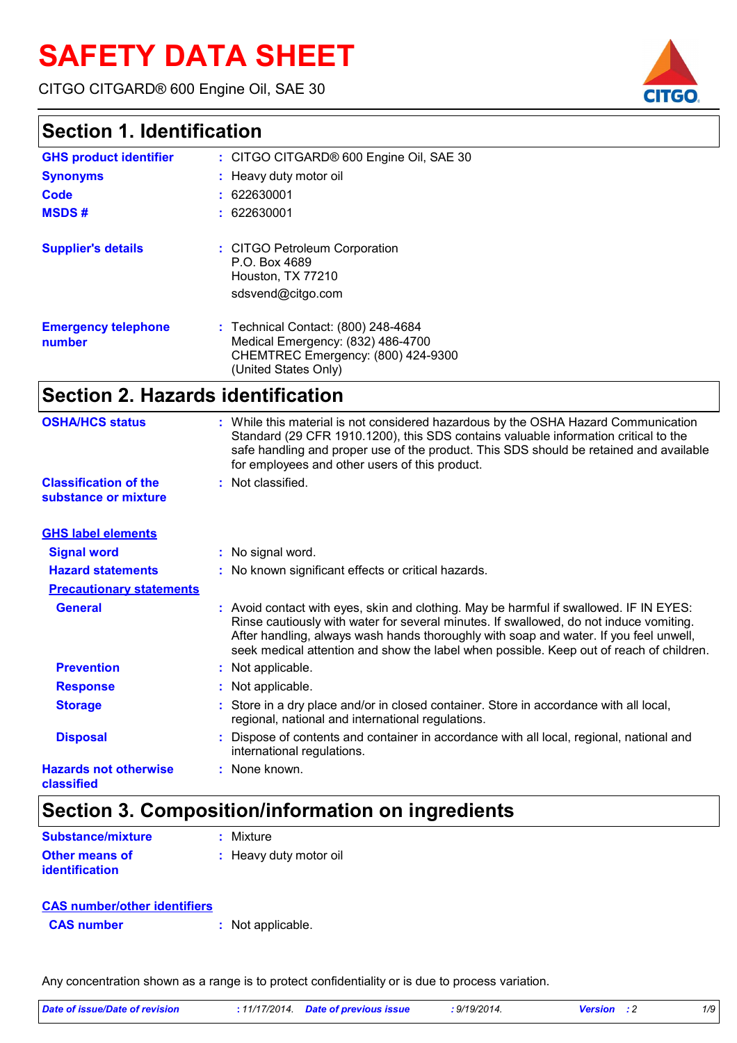# **SAFETY DATA SHEET**

CITGO CITGARD® 600 Engine Oil, SAE 30



| <b>GHS product identifier</b>        | : CITGO CITGARD® 600 Engine Oil, SAE 30                                                                                                |
|--------------------------------------|----------------------------------------------------------------------------------------------------------------------------------------|
| <b>Synonyms</b>                      | : Heavy duty motor oil                                                                                                                 |
| Code                                 | : 622630001                                                                                                                            |
| <b>MSDS#</b>                         | : 622630001                                                                                                                            |
| <b>Supplier's details</b>            | : CITGO Petroleum Corporation<br>P.O. Box 4689<br>Houston, TX 77210<br>sdsvend@citgo.com                                               |
| <b>Emergency telephone</b><br>number | : Technical Contact: (800) 248-4684<br>Medical Emergency: (832) 486-4700<br>CHEMTREC Emergency: (800) 424-9300<br>(United States Only) |

# **Section 2. Hazards identification**

| <b>OSHA/HCS status</b>                     | : While this material is not considered hazardous by the OSHA Hazard Communication<br>Standard (29 CFR 1910.1200), this SDS contains valuable information critical to the<br>safe handling and proper use of the product. This SDS should be retained and available<br>for employees and other users of this product.                                                |
|--------------------------------------------|----------------------------------------------------------------------------------------------------------------------------------------------------------------------------------------------------------------------------------------------------------------------------------------------------------------------------------------------------------------------|
| <b>Classification of the</b>               | : Not classified.                                                                                                                                                                                                                                                                                                                                                    |
| substance or mixture                       |                                                                                                                                                                                                                                                                                                                                                                      |
| <b>GHS label elements</b>                  |                                                                                                                                                                                                                                                                                                                                                                      |
| <b>Signal word</b>                         | : No signal word.                                                                                                                                                                                                                                                                                                                                                    |
| <b>Hazard statements</b>                   | : No known significant effects or critical hazards.                                                                                                                                                                                                                                                                                                                  |
| <b>Precautionary statements</b>            |                                                                                                                                                                                                                                                                                                                                                                      |
| <b>General</b>                             | : Avoid contact with eyes, skin and clothing. May be harmful if swallowed. IF IN EYES:<br>Rinse cautiously with water for several minutes. If swallowed, do not induce vomiting.<br>After handling, always wash hands thoroughly with soap and water. If you feel unwell,<br>seek medical attention and show the label when possible. Keep out of reach of children. |
| <b>Prevention</b>                          | : Not applicable.                                                                                                                                                                                                                                                                                                                                                    |
| <b>Response</b>                            | : Not applicable.                                                                                                                                                                                                                                                                                                                                                    |
| <b>Storage</b>                             | : Store in a dry place and/or in closed container. Store in accordance with all local,<br>regional, national and international regulations.                                                                                                                                                                                                                          |
| <b>Disposal</b>                            | : Dispose of contents and container in accordance with all local, regional, national and<br>international regulations.                                                                                                                                                                                                                                               |
| <b>Hazards not otherwise</b><br>classified | : None known.                                                                                                                                                                                                                                                                                                                                                        |

### **Section 3. Composition/information on ingredients**

| Substance/mixture                              | : Mixture              |
|------------------------------------------------|------------------------|
| <b>Other means of</b><br><i>identification</i> | : Heavy duty motor oil |

| <b>CAS number/other identifiers</b> |                   |
|-------------------------------------|-------------------|
| <b>CAS number</b>                   | : Not applicable. |

Any concentration shown as a range is to protect confidentiality or is due to process variation.

| . .                                        | - - -                                                                                                                                       |
|--------------------------------------------|---------------------------------------------------------------------------------------------------------------------------------------------|
| <b>Hazards not otherwise</b><br>classified | : None known.                                                                                                                               |
| <b>Disposal</b>                            | Dispose of contents and container in accordance with all local, regional, national and<br>international regulations.                        |
| <b>Storage</b>                             | : Store in a dry place and/or in closed container. Store in accordance with all local,<br>regional, national and international regulations. |
| <b>Response</b>                            | : Not applicable.                                                                                                                           |
| <b>Prevention</b>                          | : indi applicable.                                                                                                                          |

# *Date of issue/Date of revision* **:** *11/17/2014. Date of previous issue : 9/19/2014. Version : 2 1/9*

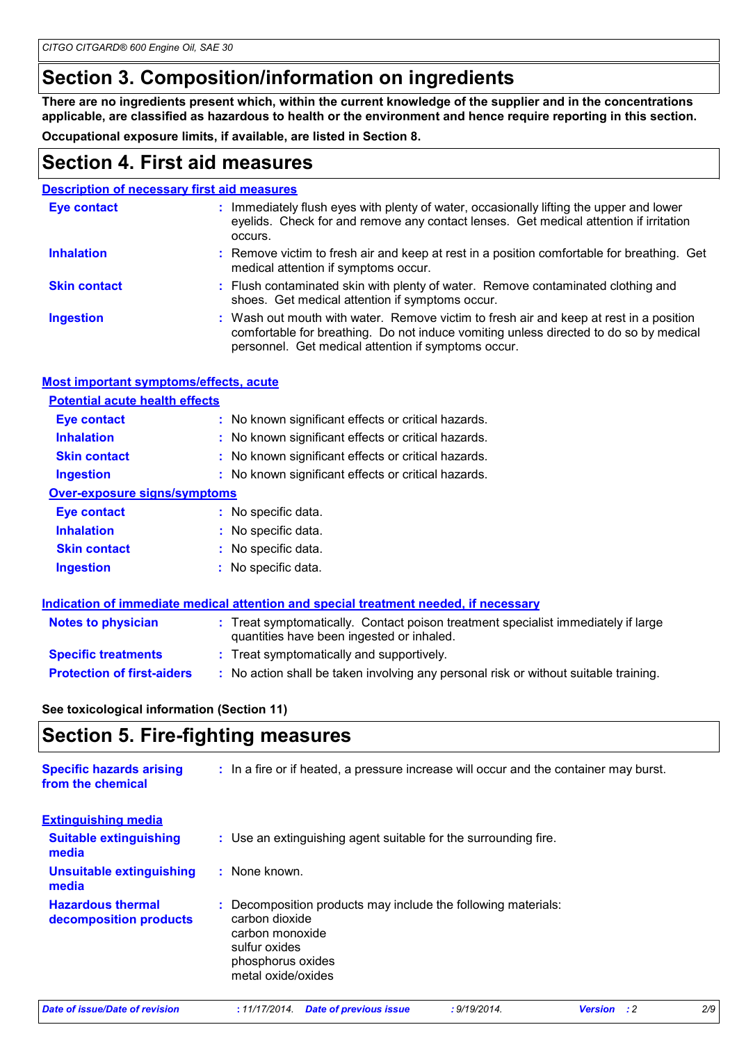### **Section 3. Composition/information on ingredients**

**There are no ingredients present which, within the current knowledge of the supplier and in the concentrations applicable, are classified as hazardous to health or the environment and hence require reporting in this section.**

**Occupational exposure limits, if available, are listed in Section 8.**

### **Section 4. First aid measures**

| <b>Description of necessary first aid measures</b> |                                                                                                                                                                                                                                        |  |
|----------------------------------------------------|----------------------------------------------------------------------------------------------------------------------------------------------------------------------------------------------------------------------------------------|--|
| <b>Eye contact</b>                                 | : Immediately flush eyes with plenty of water, occasionally lifting the upper and lower<br>eyelids. Check for and remove any contact lenses. Get medical attention if irritation<br>occurs.                                            |  |
| <b>Inhalation</b>                                  | : Remove victim to fresh air and keep at rest in a position comfortable for breathing. Get<br>medical attention if symptoms occur.                                                                                                     |  |
| <b>Skin contact</b>                                | : Flush contaminated skin with plenty of water. Remove contaminated clothing and<br>shoes. Get medical attention if symptoms occur.                                                                                                    |  |
| <b>Ingestion</b>                                   | : Wash out mouth with water. Remove victim to fresh air and keep at rest in a position<br>comfortable for breathing. Do not induce vomiting unless directed to do so by medical<br>personnel. Get medical attention if symptoms occur. |  |

#### **Most important symptoms/effects, acute**

| <b>Potential acute health effects</b> |                                                     |  |  |
|---------------------------------------|-----------------------------------------------------|--|--|
| <b>Eye contact</b>                    | : No known significant effects or critical hazards. |  |  |
| <b>Inhalation</b>                     | : No known significant effects or critical hazards. |  |  |
| <b>Skin contact</b>                   | : No known significant effects or critical hazards. |  |  |
| <b>Ingestion</b>                      | : No known significant effects or critical hazards. |  |  |
| <b>Over-exposure signs/symptoms</b>   |                                                     |  |  |
| Eye contact                           | : No specific data.                                 |  |  |
| <b>Inhalation</b>                     | : No specific data.                                 |  |  |
| <b>Skin contact</b>                   | : No specific data.                                 |  |  |
| <b>Ingestion</b>                      | : No specific data.                                 |  |  |

|                                   | Indication of immediate medical attention and special treatment needed, if necessary                                           |
|-----------------------------------|--------------------------------------------------------------------------------------------------------------------------------|
| <b>Notes to physician</b>         | : Treat symptomatically. Contact poison treatment specialist immediately if large<br>quantities have been ingested or inhaled. |
| <b>Specific treatments</b>        | : Treat symptomatically and supportively.                                                                                      |
| <b>Protection of first-aiders</b> | : No action shall be taken involving any personal risk or without suitable training.                                           |

**See toxicological information (Section 11)**

### **Section 5. Fire-fighting measures**

| <b>Specific hazards arising</b><br>from the chemical | : In a fire or if heated, a pressure increase will occur and the container may burst.                                                                          |     |
|------------------------------------------------------|----------------------------------------------------------------------------------------------------------------------------------------------------------------|-----|
| <b>Extinguishing media</b>                           |                                                                                                                                                                |     |
| <b>Suitable extinguishing</b><br>media               | : Use an extinguishing agent suitable for the surrounding fire.                                                                                                |     |
| <b>Unsuitable extinguishing</b><br>media             | : None known.                                                                                                                                                  |     |
| <b>Hazardous thermal</b><br>decomposition products   | : Decomposition products may include the following materials:<br>carbon dioxide<br>carbon monoxide<br>sulfur oxides<br>phosphorus oxides<br>metal oxide/oxides |     |
| Date of issue/Date of revision                       | : 9/19/2014.<br>:11/17/2014.<br>Date of previous issue<br>: 2<br><b>Version</b>                                                                                | 2/9 |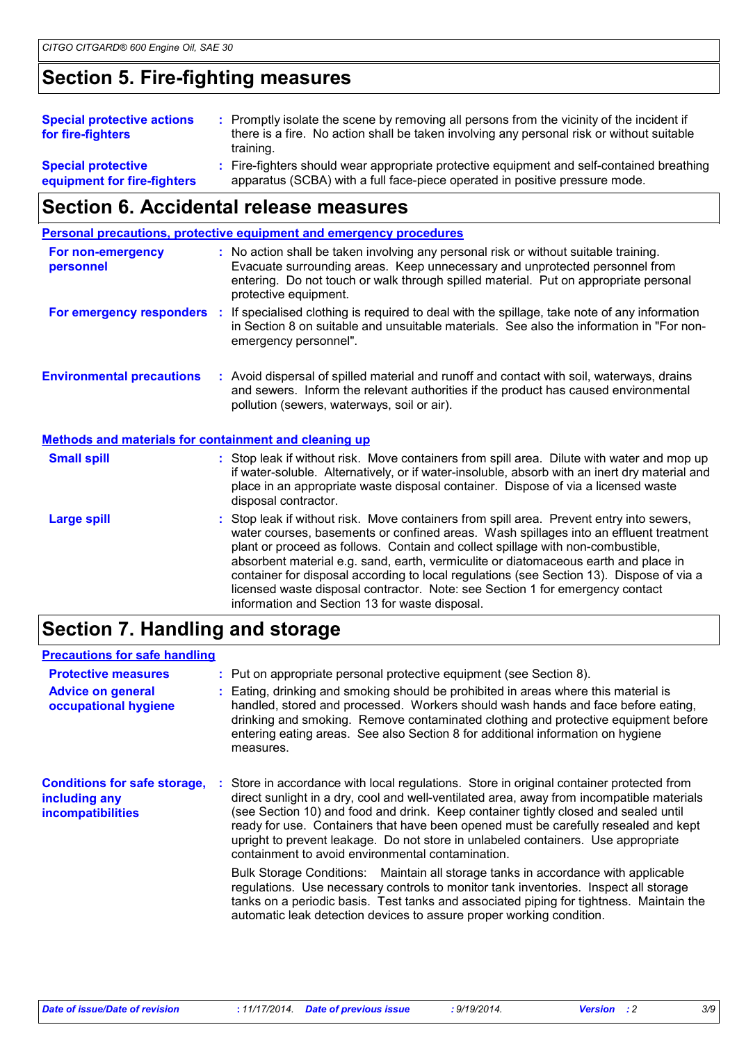# **Section 5. Fire-fighting measures**

| <b>Special protective actions</b><br>for fire-fighters   | : Promptly isolate the scene by removing all persons from the vicinity of the incident if<br>there is a fire. No action shall be taken involving any personal risk or without suitable<br>training. |
|----------------------------------------------------------|-----------------------------------------------------------------------------------------------------------------------------------------------------------------------------------------------------|
| <b>Special protective</b><br>equipment for fire-fighters | : Fire-fighters should wear appropriate protective equipment and self-contained breathing<br>apparatus (SCBA) with a full face-piece operated in positive pressure mode.                            |

# **Section 6. Accidental release measures**

|                                                              | <b>Personal precautions, protective equipment and emergency procedures</b>                                                                                                                                                                                                                                                                                                                                                                                                                                                                                                                 |
|--------------------------------------------------------------|--------------------------------------------------------------------------------------------------------------------------------------------------------------------------------------------------------------------------------------------------------------------------------------------------------------------------------------------------------------------------------------------------------------------------------------------------------------------------------------------------------------------------------------------------------------------------------------------|
| For non-emergency<br>personnel                               | : No action shall be taken involving any personal risk or without suitable training.<br>Evacuate surrounding areas. Keep unnecessary and unprotected personnel from<br>entering. Do not touch or walk through spilled material. Put on appropriate personal<br>protective equipment.                                                                                                                                                                                                                                                                                                       |
|                                                              | For emergency responders : If specialised clothing is required to deal with the spillage, take note of any information<br>in Section 8 on suitable and unsuitable materials. See also the information in "For non-<br>emergency personnel".                                                                                                                                                                                                                                                                                                                                                |
| <b>Environmental precautions</b>                             | : Avoid dispersal of spilled material and runoff and contact with soil, waterways, drains<br>and sewers. Inform the relevant authorities if the product has caused environmental<br>pollution (sewers, waterways, soil or air).                                                                                                                                                                                                                                                                                                                                                            |
| <b>Methods and materials for containment and cleaning up</b> |                                                                                                                                                                                                                                                                                                                                                                                                                                                                                                                                                                                            |
| <b>Small spill</b>                                           | : Stop leak if without risk. Move containers from spill area. Dilute with water and mop up<br>if water-soluble. Alternatively, or if water-insoluble, absorb with an inert dry material and<br>place in an appropriate waste disposal container. Dispose of via a licensed waste<br>disposal contractor.                                                                                                                                                                                                                                                                                   |
| <b>Large spill</b>                                           | : Stop leak if without risk. Move containers from spill area. Prevent entry into sewers,<br>water courses, basements or confined areas. Wash spillages into an effluent treatment<br>plant or proceed as follows. Contain and collect spillage with non-combustible,<br>absorbent material e.g. sand, earth, vermiculite or diatomaceous earth and place in<br>container for disposal according to local regulations (see Section 13). Dispose of via a<br>licensed waste disposal contractor. Note: see Section 1 for emergency contact<br>information and Section 13 for waste disposal. |

# **Section 7. Handling and storage**

#### **Precautions for safe handling**

| <b>Protective measures</b><br><b>Advice on general</b><br>occupational hygiene   | : Put on appropriate personal protective equipment (see Section 8).<br>Eating, drinking and smoking should be prohibited in areas where this material is<br>handled, stored and processed. Workers should wash hands and face before eating,<br>drinking and smoking. Remove contaminated clothing and protective equipment before<br>entering eating areas. See also Section 8 for additional information on hygiene<br>measures.                                                                            |
|----------------------------------------------------------------------------------|---------------------------------------------------------------------------------------------------------------------------------------------------------------------------------------------------------------------------------------------------------------------------------------------------------------------------------------------------------------------------------------------------------------------------------------------------------------------------------------------------------------|
| <b>Conditions for safe storage,</b><br>including any<br><b>incompatibilities</b> | : Store in accordance with local regulations. Store in original container protected from<br>direct sunlight in a dry, cool and well-ventilated area, away from incompatible materials<br>(see Section 10) and food and drink. Keep container tightly closed and sealed until<br>ready for use. Containers that have been opened must be carefully resealed and kept<br>upright to prevent leakage. Do not store in unlabeled containers. Use appropriate<br>containment to avoid environmental contamination. |
|                                                                                  | Bulk Storage Conditions: Maintain all storage tanks in accordance with applicable<br>regulations. Use necessary controls to monitor tank inventories. Inspect all storage<br>tanks on a periodic basis. Test tanks and associated piping for tightness. Maintain the<br>automatic leak detection devices to assure proper working condition.                                                                                                                                                                  |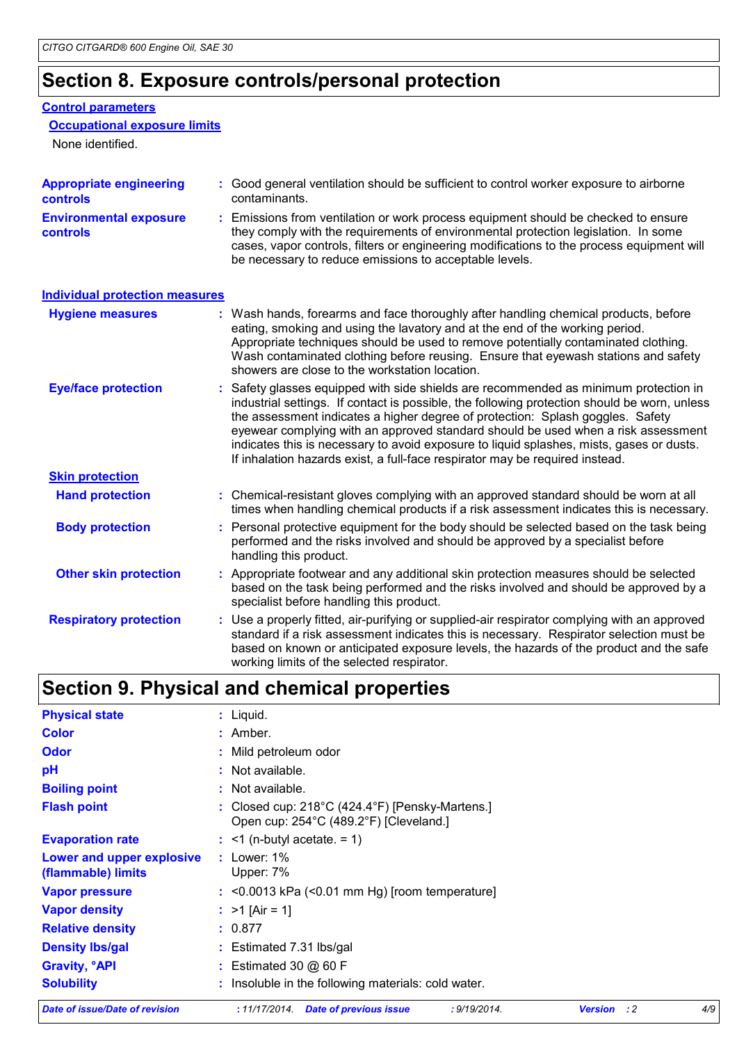### **Section 8. Exposure controls/personal protection**

#### **Control parameters**

#### **Occupational exposure limits**

None identified.

| <b>Appropriate engineering</b><br><b>controls</b> | : Good general ventilation should be sufficient to control worker exposure to airborne<br>contaminants.                                                                                                                                                                                                                                                                                                                                                                                                                                 |  |  |
|---------------------------------------------------|-----------------------------------------------------------------------------------------------------------------------------------------------------------------------------------------------------------------------------------------------------------------------------------------------------------------------------------------------------------------------------------------------------------------------------------------------------------------------------------------------------------------------------------------|--|--|
| <b>Environmental exposure</b><br><b>controls</b>  | : Emissions from ventilation or work process equipment should be checked to ensure<br>they comply with the requirements of environmental protection legislation. In some<br>cases, vapor controls, filters or engineering modifications to the process equipment will<br>be necessary to reduce emissions to acceptable levels.                                                                                                                                                                                                         |  |  |
| <b>Individual protection measures</b>             |                                                                                                                                                                                                                                                                                                                                                                                                                                                                                                                                         |  |  |
| <b>Hygiene measures</b>                           | : Wash hands, forearms and face thoroughly after handling chemical products, before<br>eating, smoking and using the lavatory and at the end of the working period.<br>Appropriate techniques should be used to remove potentially contaminated clothing.<br>Wash contaminated clothing before reusing. Ensure that eyewash stations and safety<br>showers are close to the workstation location.                                                                                                                                       |  |  |
| <b>Eye/face protection</b>                        | : Safety glasses equipped with side shields are recommended as minimum protection in<br>industrial settings. If contact is possible, the following protection should be worn, unless<br>the assessment indicates a higher degree of protection: Splash goggles. Safety<br>eyewear complying with an approved standard should be used when a risk assessment<br>indicates this is necessary to avoid exposure to liquid splashes, mists, gases or dusts.<br>If inhalation hazards exist, a full-face respirator may be required instead. |  |  |

| <b>Skin protection</b> |                                                                                                                                                                                                     |
|------------------------|-----------------------------------------------------------------------------------------------------------------------------------------------------------------------------------------------------|
| <b>Hand protection</b> | : Chemical-resistant gloves complying with an approved standard should be worn at all<br>times when handling chemical products if a risk assessment indicates this is necessary.                    |
| <b>Body protection</b> | : Personal protective equipment for the body should be selected based on the task being<br>performed and the risks involved and should be approved by a specialist before<br>handling this product. |

| <b>Other skin protection</b> | : Appropriate footwear and any additional skin protection measures should be selected<br>based on the task being performed and the risks involved and should be approved by a<br>specialist before handling this product. |
|------------------------------|---------------------------------------------------------------------------------------------------------------------------------------------------------------------------------------------------------------------------|
|                              |                                                                                                                                                                                                                           |

Use a properly fitted, air-purifying or supplied-air respirator complying with an approved standard if a risk assessment indicates this is necessary. Respirator selection must be based on known or anticipated exposure levels, the hazards of the product and the safe working limits of the selected respirator. **Respiratory protection :**

# **Section 9. Physical and chemical properties**

| Date of issue/Date of revision                  | : 11/17/2014.<br>: 9/19/2014.<br>Date of previous issue<br><b>Version</b><br>: 2                               | 4/9 |  |  |  |
|-------------------------------------------------|----------------------------------------------------------------------------------------------------------------|-----|--|--|--|
| <b>Solubility</b>                               | : Insoluble in the following materials: cold water.                                                            |     |  |  |  |
| <b>Gravity, <sup>o</sup>API</b>                 | : Estimated 30 $@$ 60 F                                                                                        |     |  |  |  |
| <b>Density Ibs/gal</b>                          | : Estimated 7.31 lbs/gal                                                                                       |     |  |  |  |
| <b>Relative density</b>                         | : 0.877                                                                                                        |     |  |  |  |
| <b>Vapor density</b>                            | : $>1$ [Air = 1]                                                                                               |     |  |  |  |
| <b>Vapor pressure</b>                           | $:$ <0.0013 kPa (<0.01 mm Hg) [room temperature]                                                               |     |  |  |  |
| Lower and upper explosive<br>(flammable) limits | $:$ Lower: 1%<br>Upper: 7%                                                                                     |     |  |  |  |
| <b>Evaporation rate</b>                         | $\div$ <1 (n-butyl acetate. = 1)                                                                               |     |  |  |  |
| <b>Flash point</b>                              | : Closed cup: $218^{\circ}$ C (424.4 $^{\circ}$ F) [Pensky-Martens.]<br>Open cup: 254°C (489.2°F) [Cleveland.] |     |  |  |  |
| <b>Boiling point</b>                            | : Not available.                                                                                               |     |  |  |  |
| pH                                              | : Not available.                                                                                               |     |  |  |  |
| <b>Odor</b>                                     | : Mild petroleum odor                                                                                          |     |  |  |  |
| <b>Color</b>                                    | $:$ Amber.                                                                                                     |     |  |  |  |
| <b>Physical state</b>                           | $:$ Liquid.                                                                                                    |     |  |  |  |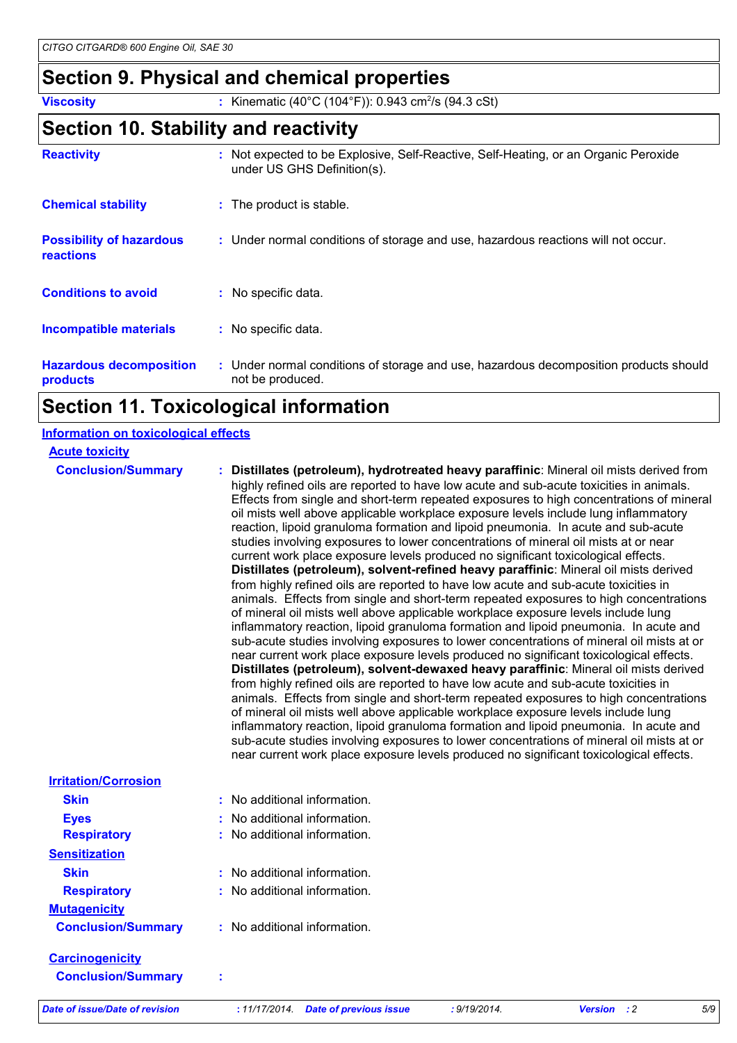# **Section 9. Physical and chemical properties**

**Viscosity** : Kinematic (40°C (104°F)): 0.943 cm<sup>2</sup>/s (94.3 cSt)

# **Section 10. Stability and reactivity**

| <b>Reactivity</b>                                   | : Not expected to be Explosive, Self-Reactive, Self-Heating, or an Organic Peroxide<br>under US GHS Definition(s). |  |
|-----------------------------------------------------|--------------------------------------------------------------------------------------------------------------------|--|
| <b>Chemical stability</b>                           | : The product is stable.                                                                                           |  |
| <b>Possibility of hazardous</b><br><b>reactions</b> | : Under normal conditions of storage and use, hazardous reactions will not occur.                                  |  |
| <b>Conditions to avoid</b>                          | : No specific data.                                                                                                |  |
| <b>Incompatible materials</b>                       | : No specific data.                                                                                                |  |
| <b>Hazardous decomposition</b><br>products          | : Under normal conditions of storage and use, hazardous decomposition products should<br>not be produced.          |  |

# **Section 11. Toxicological information**

#### **Information on toxicological effects**

| <b>Acute toxicity</b>          |                                                                                                                                                                                                                                                                                                                                                                                                                                                                                                                                                                                                                                                                                                                                                                                                                                                                                                                                                                                                                                                                                                                                                                                                                                                                                                                                                                                                                                                                                                                                                                                                                                                                                                                                                                                                                                                                                                                              |
|--------------------------------|------------------------------------------------------------------------------------------------------------------------------------------------------------------------------------------------------------------------------------------------------------------------------------------------------------------------------------------------------------------------------------------------------------------------------------------------------------------------------------------------------------------------------------------------------------------------------------------------------------------------------------------------------------------------------------------------------------------------------------------------------------------------------------------------------------------------------------------------------------------------------------------------------------------------------------------------------------------------------------------------------------------------------------------------------------------------------------------------------------------------------------------------------------------------------------------------------------------------------------------------------------------------------------------------------------------------------------------------------------------------------------------------------------------------------------------------------------------------------------------------------------------------------------------------------------------------------------------------------------------------------------------------------------------------------------------------------------------------------------------------------------------------------------------------------------------------------------------------------------------------------------------------------------------------------|
| <b>Conclusion/Summary</b>      | : Distillates (petroleum), hydrotreated heavy paraffinic: Mineral oil mists derived from<br>highly refined oils are reported to have low acute and sub-acute toxicities in animals.<br>Effects from single and short-term repeated exposures to high concentrations of mineral<br>oil mists well above applicable workplace exposure levels include lung inflammatory<br>reaction, lipoid granuloma formation and lipoid pneumonia. In acute and sub-acute<br>studies involving exposures to lower concentrations of mineral oil mists at or near<br>current work place exposure levels produced no significant toxicological effects.<br>Distillates (petroleum), solvent-refined heavy paraffinic: Mineral oil mists derived<br>from highly refined oils are reported to have low acute and sub-acute toxicities in<br>animals. Effects from single and short-term repeated exposures to high concentrations<br>of mineral oil mists well above applicable workplace exposure levels include lung<br>inflammatory reaction, lipoid granuloma formation and lipoid pneumonia. In acute and<br>sub-acute studies involving exposures to lower concentrations of mineral oil mists at or<br>near current work place exposure levels produced no significant toxicological effects.<br>Distillates (petroleum), solvent-dewaxed heavy paraffinic: Mineral oil mists derived<br>from highly refined oils are reported to have low acute and sub-acute toxicities in<br>animals. Effects from single and short-term repeated exposures to high concentrations<br>of mineral oil mists well above applicable workplace exposure levels include lung<br>inflammatory reaction, lipoid granuloma formation and lipoid pneumonia. In acute and<br>sub-acute studies involving exposures to lower concentrations of mineral oil mists at or<br>near current work place exposure levels produced no significant toxicological effects. |
| <b>Irritation/Corrosion</b>    |                                                                                                                                                                                                                                                                                                                                                                                                                                                                                                                                                                                                                                                                                                                                                                                                                                                                                                                                                                                                                                                                                                                                                                                                                                                                                                                                                                                                                                                                                                                                                                                                                                                                                                                                                                                                                                                                                                                              |
| <b>Skin</b>                    | : No additional information.                                                                                                                                                                                                                                                                                                                                                                                                                                                                                                                                                                                                                                                                                                                                                                                                                                                                                                                                                                                                                                                                                                                                                                                                                                                                                                                                                                                                                                                                                                                                                                                                                                                                                                                                                                                                                                                                                                 |
| <b>Eyes</b>                    | : No additional information.                                                                                                                                                                                                                                                                                                                                                                                                                                                                                                                                                                                                                                                                                                                                                                                                                                                                                                                                                                                                                                                                                                                                                                                                                                                                                                                                                                                                                                                                                                                                                                                                                                                                                                                                                                                                                                                                                                 |
| <b>Respiratory</b>             | : No additional information.                                                                                                                                                                                                                                                                                                                                                                                                                                                                                                                                                                                                                                                                                                                                                                                                                                                                                                                                                                                                                                                                                                                                                                                                                                                                                                                                                                                                                                                                                                                                                                                                                                                                                                                                                                                                                                                                                                 |
| <b>Sensitization</b>           |                                                                                                                                                                                                                                                                                                                                                                                                                                                                                                                                                                                                                                                                                                                                                                                                                                                                                                                                                                                                                                                                                                                                                                                                                                                                                                                                                                                                                                                                                                                                                                                                                                                                                                                                                                                                                                                                                                                              |
| <b>Skin</b>                    | : No additional information.                                                                                                                                                                                                                                                                                                                                                                                                                                                                                                                                                                                                                                                                                                                                                                                                                                                                                                                                                                                                                                                                                                                                                                                                                                                                                                                                                                                                                                                                                                                                                                                                                                                                                                                                                                                                                                                                                                 |
| <b>Respiratory</b>             | : No additional information.                                                                                                                                                                                                                                                                                                                                                                                                                                                                                                                                                                                                                                                                                                                                                                                                                                                                                                                                                                                                                                                                                                                                                                                                                                                                                                                                                                                                                                                                                                                                                                                                                                                                                                                                                                                                                                                                                                 |
| <b>Mutagenicity</b>            |                                                                                                                                                                                                                                                                                                                                                                                                                                                                                                                                                                                                                                                                                                                                                                                                                                                                                                                                                                                                                                                                                                                                                                                                                                                                                                                                                                                                                                                                                                                                                                                                                                                                                                                                                                                                                                                                                                                              |
| <b>Conclusion/Summary</b>      | : No additional information.                                                                                                                                                                                                                                                                                                                                                                                                                                                                                                                                                                                                                                                                                                                                                                                                                                                                                                                                                                                                                                                                                                                                                                                                                                                                                                                                                                                                                                                                                                                                                                                                                                                                                                                                                                                                                                                                                                 |
| <b>Carcinogenicity</b>         |                                                                                                                                                                                                                                                                                                                                                                                                                                                                                                                                                                                                                                                                                                                                                                                                                                                                                                                                                                                                                                                                                                                                                                                                                                                                                                                                                                                                                                                                                                                                                                                                                                                                                                                                                                                                                                                                                                                              |
| <b>Conclusion/Summary</b>      |                                                                                                                                                                                                                                                                                                                                                                                                                                                                                                                                                                                                                                                                                                                                                                                                                                                                                                                                                                                                                                                                                                                                                                                                                                                                                                                                                                                                                                                                                                                                                                                                                                                                                                                                                                                                                                                                                                                              |
| Date of issue/Date of revision | 5/9<br>: 11/17/2014. Date of previous issue<br>: 9/19/2014.<br><b>Version</b><br>$\cdot$ :2                                                                                                                                                                                                                                                                                                                                                                                                                                                                                                                                                                                                                                                                                                                                                                                                                                                                                                                                                                                                                                                                                                                                                                                                                                                                                                                                                                                                                                                                                                                                                                                                                                                                                                                                                                                                                                  |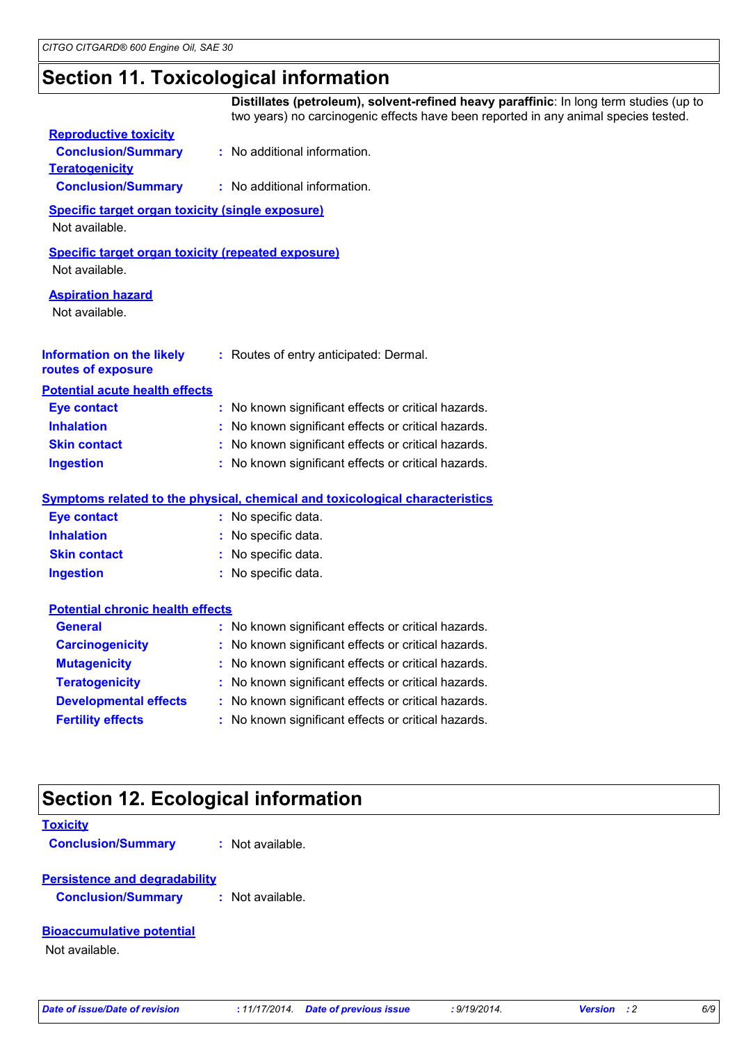# **Section 11. Toxicological information**

|                                                                             | Distillates (petroleum), solvent-refined heavy paraffinic: In long term studies (up to<br>two years) no carcinogenic effects have been reported in any animal species tested. |
|-----------------------------------------------------------------------------|-------------------------------------------------------------------------------------------------------------------------------------------------------------------------------|
| <b>Reproductive toxicity</b>                                                |                                                                                                                                                                               |
| <b>Conclusion/Summary</b>                                                   | : No additional information.                                                                                                                                                  |
| <b>Teratogenicity</b>                                                       |                                                                                                                                                                               |
| <b>Conclusion/Summary</b>                                                   | : No additional information.                                                                                                                                                  |
| <b>Specific target organ toxicity (single exposure)</b>                     |                                                                                                                                                                               |
| Not available.                                                              |                                                                                                                                                                               |
| <b>Specific target organ toxicity (repeated exposure)</b><br>Not available. |                                                                                                                                                                               |
| <b>Aspiration hazard</b>                                                    |                                                                                                                                                                               |
| Not available.                                                              |                                                                                                                                                                               |
| <b>Information on the likely</b><br>routes of exposure                      | : Routes of entry anticipated: Dermal.                                                                                                                                        |
| <b>Potential acute health effects</b>                                       |                                                                                                                                                                               |
| <b>Eye contact</b>                                                          | : No known significant effects or critical hazards.                                                                                                                           |
| <b>Inhalation</b>                                                           | No known significant effects or critical hazards.                                                                                                                             |
| <b>Skin contact</b>                                                         | No known significant effects or critical hazards.                                                                                                                             |
| <b>Ingestion</b>                                                            | : No known significant effects or critical hazards.                                                                                                                           |
|                                                                             | Symptoms related to the physical, chemical and toxicological characteristics                                                                                                  |
| <b>Eye contact</b>                                                          | : No specific data.                                                                                                                                                           |
| <b>Inhalation</b>                                                           | No specific data.                                                                                                                                                             |
| <b>Skin contact</b>                                                         | No specific data.<br>÷.                                                                                                                                                       |
| <b>Ingestion</b>                                                            | No specific data.                                                                                                                                                             |
| <b>Potential chronic health effects</b>                                     |                                                                                                                                                                               |
| <b>General</b>                                                              | : No known significant effects or critical hazards.                                                                                                                           |
| <b>Carcinogenicity</b>                                                      | No known significant effects or critical hazards.                                                                                                                             |
| <b>Mutagenicity</b>                                                         | No known significant effects or critical hazards.                                                                                                                             |
| <b>Teratogenicity</b>                                                       | No known significant effects or critical hazards.                                                                                                                             |
| <b>Developmental effects</b>                                                | No known significant effects or critical hazards.                                                                                                                             |
| <b>Fertility effects</b>                                                    | No known significant effects or critical hazards.                                                                                                                             |
|                                                                             |                                                                                                                                                                               |
| <b>Section 12. Ecological information</b>                                   |                                                                                                                                                                               |
| <b>Toxicity</b>                                                             |                                                                                                                                                                               |
| <b>Conclusion/Summary</b>                                                   | Not available.                                                                                                                                                                |
| <b>Persistence and degradability</b>                                        |                                                                                                                                                                               |
| <b>Conclusion/Summary</b>                                                   | Not available.                                                                                                                                                                |

#### **Bioaccumulative potential**

Not available.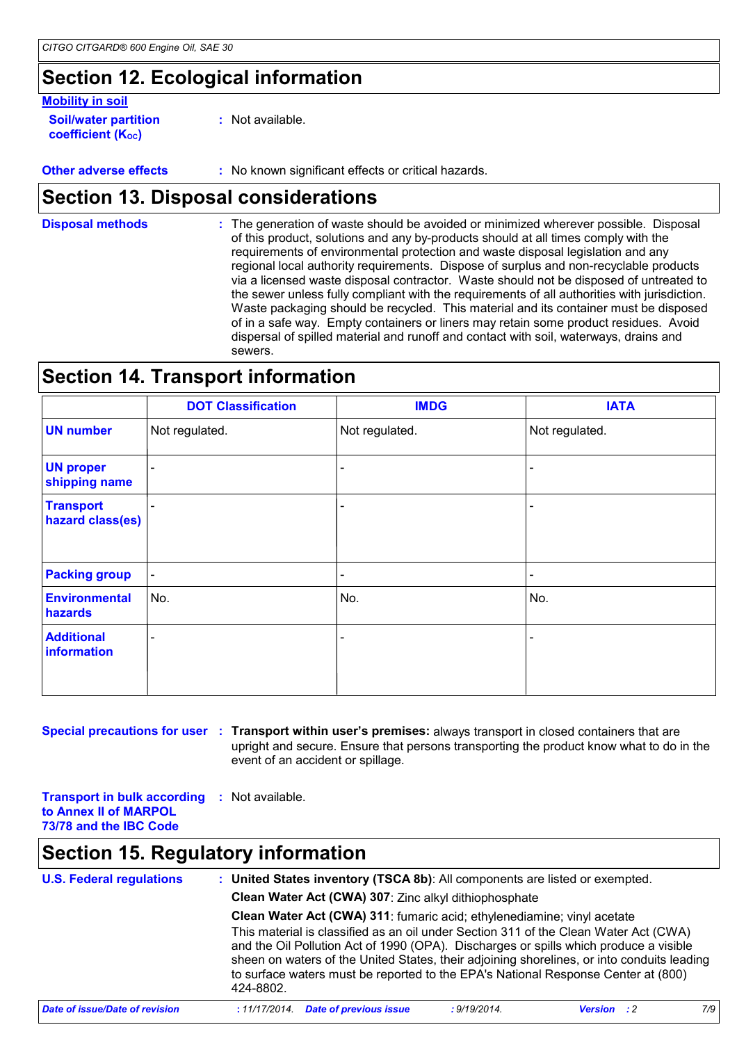# **Section 12. Ecological information**

#### **Mobility in soil**

**Soil/water partition coefficient (KOC)**

**:** Not available.

**Other adverse effects :** No known significant effects or critical hazards.

### **Section 13. Disposal considerations**

The generation of waste should be avoided or minimized wherever possible. Disposal of this product, solutions and any by-products should at all times comply with the requirements of environmental protection and waste disposal legislation and any regional local authority requirements. Dispose of surplus and non-recyclable products via a licensed waste disposal contractor. Waste should not be disposed of untreated to the sewer unless fully compliant with the requirements of all authorities with jurisdiction. Waste packaging should be recycled. This material and its container must be disposed of in a safe way. Empty containers or liners may retain some product residues. Avoid dispersal of spilled material and runoff and contact with soil, waterways, drains and sewers. **Disposal methods :**

# **Section 14. Transport information**

|                                      | <b>DOT Classification</b> | <b>IMDG</b>              | <b>IATA</b>    |
|--------------------------------------|---------------------------|--------------------------|----------------|
| <b>UN number</b>                     | Not regulated.            | Not regulated.           | Not regulated. |
| <b>UN proper</b><br>shipping name    | $\blacksquare$            | $\blacksquare$           |                |
| <b>Transport</b><br>hazard class(es) |                           | -                        |                |
| <b>Packing group</b>                 | $\blacksquare$            | $\overline{\phantom{0}}$ |                |
| <b>Environmental</b><br>hazards      | No.                       | No.                      | No.            |
| <b>Additional</b><br>information     |                           |                          |                |

**Special precautions for user Transport within user's premises:** always transport in closed containers that are **:** upright and secure. Ensure that persons transporting the product know what to do in the event of an accident or spillage.

**Transport in bulk according :** Not available. **to Annex II of MARPOL 73/78 and the IBC Code**

### **Section 15. Regulatory information**

| <b>U.S. Federal regulations</b> | : United States inventory (TSCA 8b): All components are listed or exempted.                                                      |                                                |              |                               |     |  |  |
|---------------------------------|----------------------------------------------------------------------------------------------------------------------------------|------------------------------------------------|--------------|-------------------------------|-----|--|--|
|                                 | Clean Water Act (CWA) 307: Zinc alkyl dithiophosphate<br>Clean Water Act (CWA) 311: fumaric acid; ethylenediamine; vinyl acetate |                                                |              |                               |     |  |  |
|                                 |                                                                                                                                  |                                                |              |                               |     |  |  |
|                                 | Date of issue/Date of revision                                                                                                   | <b>Date of previous issue</b><br>: 11/17/2014. | : 9/19/2014. | <b>Version</b><br>$\cdot$ : 2 | 7/9 |  |  |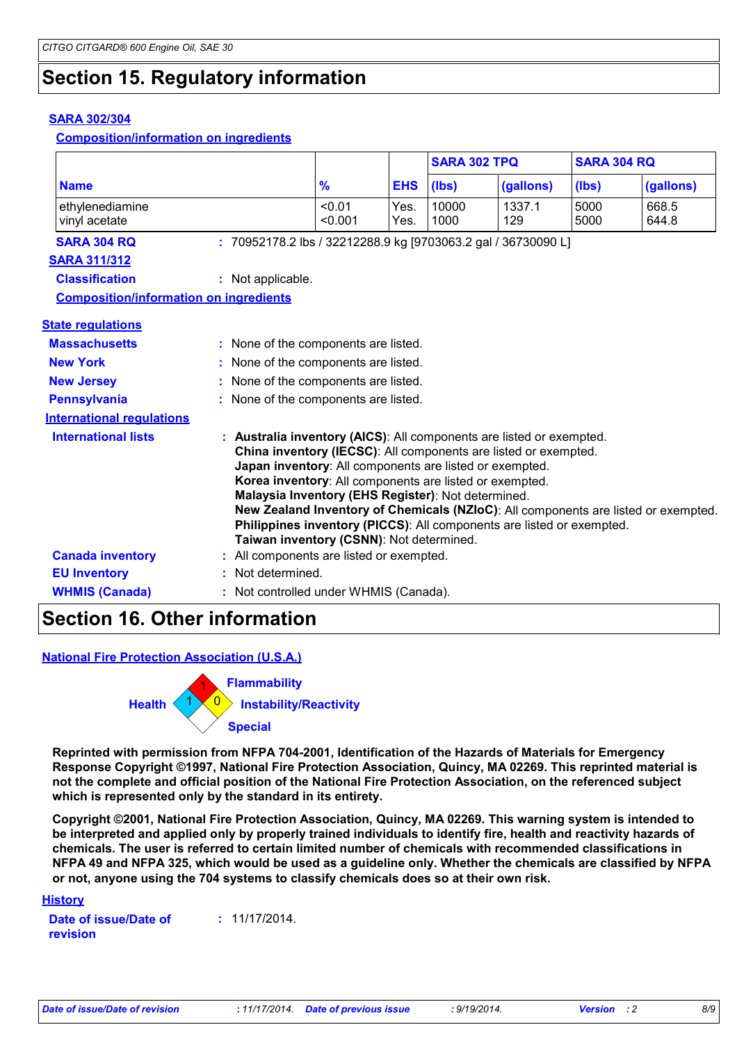# **Section 15. Regulatory information**

#### **SARA 302/304**

**Composition/information on ingredients**

|                                               |                                      |                                                                                                                                                                                                                                                                                                                                                                                                                                                                                                                                |              | <b>SARA 302 TPQ</b> |               | <b>SARA 304 RQ</b> |                |
|-----------------------------------------------|--------------------------------------|--------------------------------------------------------------------------------------------------------------------------------------------------------------------------------------------------------------------------------------------------------------------------------------------------------------------------------------------------------------------------------------------------------------------------------------------------------------------------------------------------------------------------------|--------------|---------------------|---------------|--------------------|----------------|
| <b>Name</b>                                   |                                      | $\frac{9}{6}$                                                                                                                                                                                                                                                                                                                                                                                                                                                                                                                  | <b>EHS</b>   | (Ibs)               | (gallons)     | (Ibs)              | (gallons)      |
| ethylenediamine<br>vinyl acetate              |                                      | < 0.01<br>< 0.001                                                                                                                                                                                                                                                                                                                                                                                                                                                                                                              | Yes.<br>Yes. | 10000<br>1000       | 1337.1<br>129 | 5000<br>5000       | 668.5<br>644.8 |
| <b>SARA 304 RQ</b>                            |                                      | : 70952178.2 lbs / 32212288.9 kg [9703063.2 gal / 36730090 L]                                                                                                                                                                                                                                                                                                                                                                                                                                                                  |              |                     |               |                    |                |
| <b>SARA 311/312</b>                           |                                      |                                                                                                                                                                                                                                                                                                                                                                                                                                                                                                                                |              |                     |               |                    |                |
| <b>Classification</b>                         | : Not applicable.                    |                                                                                                                                                                                                                                                                                                                                                                                                                                                                                                                                |              |                     |               |                    |                |
| <b>Composition/information on ingredients</b> |                                      |                                                                                                                                                                                                                                                                                                                                                                                                                                                                                                                                |              |                     |               |                    |                |
| <b>State regulations</b>                      |                                      |                                                                                                                                                                                                                                                                                                                                                                                                                                                                                                                                |              |                     |               |                    |                |
| <b>Massachusetts</b>                          |                                      | : None of the components are listed.                                                                                                                                                                                                                                                                                                                                                                                                                                                                                           |              |                     |               |                    |                |
| <b>New York</b>                               | : None of the components are listed. |                                                                                                                                                                                                                                                                                                                                                                                                                                                                                                                                |              |                     |               |                    |                |
| <b>New Jersey</b>                             | : None of the components are listed. |                                                                                                                                                                                                                                                                                                                                                                                                                                                                                                                                |              |                     |               |                    |                |
| <b>Pennsylvania</b>                           | : None of the components are listed. |                                                                                                                                                                                                                                                                                                                                                                                                                                                                                                                                |              |                     |               |                    |                |
| <b>International requlations</b>              |                                      |                                                                                                                                                                                                                                                                                                                                                                                                                                                                                                                                |              |                     |               |                    |                |
| <b>International lists</b>                    |                                      | : Australia inventory (AICS): All components are listed or exempted.<br>China inventory (IECSC): All components are listed or exempted.<br>Japan inventory: All components are listed or exempted.<br>Korea inventory: All components are listed or exempted.<br>Malaysia Inventory (EHS Register): Not determined.<br>New Zealand Inventory of Chemicals (NZIoC): All components are listed or exempted.<br>Philippines inventory (PICCS): All components are listed or exempted.<br>Taiwan inventory (CSNN): Not determined. |              |                     |               |                    |                |
| <b>Canada inventory</b>                       |                                      | : All components are listed or exempted.                                                                                                                                                                                                                                                                                                                                                                                                                                                                                       |              |                     |               |                    |                |
| <b>EU Inventory</b>                           |                                      | Not determined.                                                                                                                                                                                                                                                                                                                                                                                                                                                                                                                |              |                     |               |                    |                |
| <b>WHMIS (Canada)</b>                         |                                      | : Not controlled under WHMIS (Canada).                                                                                                                                                                                                                                                                                                                                                                                                                                                                                         |              |                     |               |                    |                |

#### **Section 16. Other information**

#### **National Fire Protection Association (U.S.A.)**



**Reprinted with permission from NFPA 704-2001, Identification of the Hazards of Materials for Emergency Response Copyright ©1997, National Fire Protection Association, Quincy, MA 02269. This reprinted material is not the complete and official position of the National Fire Protection Association, on the referenced subject which is represented only by the standard in its entirety.**

**Copyright ©2001, National Fire Protection Association, Quincy, MA 02269. This warning system is intended to be interpreted and applied only by properly trained individuals to identify fire, health and reactivity hazards of chemicals. The user is referred to certain limited number of chemicals with recommended classifications in NFPA 49 and NFPA 325, which would be used as a guideline only. Whether the chemicals are classified by NFPA or not, anyone using the 704 systems to classify chemicals does so at their own risk.**

#### **History**

**Date of issue/Date of revision :** 11/17/2014.